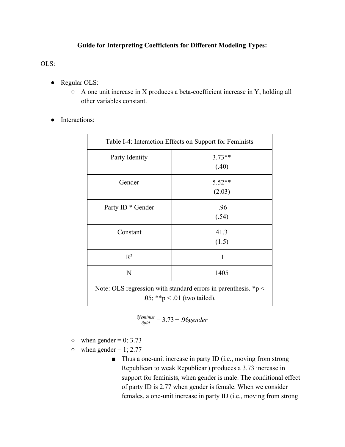## **Guide for Interpreting Coefficients for Different Modeling Types:**

OLS:

- Regular OLS:
	- A one unit increase in X produces a beta-coefficient increase in Y, holding all other variables constant.
- Interactions:

| Table I-4: Interaction Effects on Support for Feminists                                              |                    |
|------------------------------------------------------------------------------------------------------|--------------------|
| Party Identity                                                                                       | $3.73**$<br>(.40)  |
| Gender                                                                                               | $5.52**$<br>(2.03) |
| Party ID <sup>*</sup> Gender                                                                         | $-96$<br>(.54)     |
| Constant                                                                                             | 41.3<br>(1.5)      |
| $R^2$                                                                                                | - 1                |
| N                                                                                                    | 1405               |
| Note: OLS regression with standard errors in parenthesis. $\ast p$ <<br>.05; **p < .01 (two tailed). |                    |

$$
\frac{\partial \text{feminist}}{\partial \text{pid}} = 3.73 - .96 \text{gender}
$$

- $\circ$  when gender = 0; 3.73
- $\circ$  when gender = 1; 2.77
	- Thus a one-unit increase in party ID (i.e., moving from strong Republican to weak Republican) produces a 3.73 increase in support for feminists, when gender is male. The conditional effect of party ID is 2.77 when gender is female. When we consider females, a one-unit increase in party ID (i.e., moving from strong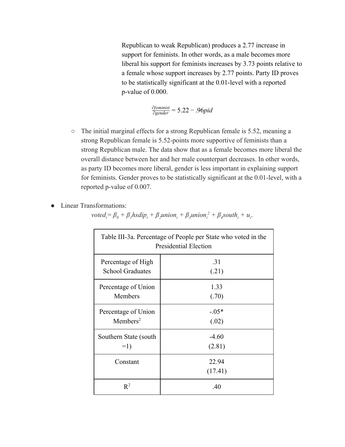Republican to weak Republican) produces a 2.77 increase in support for feminists. In other words, as a male becomes more liberal his support for feminists increases by 3.73 points relative to a female whose support increases by 2.77 points. Party ID proves to be statistically significant at the  $0.01$ -level with a reported  $p$ -value of 0.000.

<u>∂feminist</u> = 5.22 – .96pid

- The initial marginal effects for a strong Republican female is 5.52, meaning a strong Republican female is 5.52-points more supportive of feminists than a strong Republican male. The data show that as a female becomes more liberal the overall distance between her and her male counterpart decreases. In other words, as party ID becomes more liberal, gender is less important in explaining support for feminists. Gender proves to be statistically significant at the  $0.01$ -level, with a reported p-value of 0.007.
- Linear Transformations:

voted<sub>i</sub>=  $\beta_0 + \beta_1$ hsdi $p_i + \beta_2$ union<sub>i</sub> +  $\beta_3$ union<sub>i</sub><sup>2</sup> +  $\beta_4$ south<sub>i</sub> +  $u_i$ .

| Table III-3a. Percentage of People per State who voted in the<br>Presidential Election |                  |
|----------------------------------------------------------------------------------------|------------------|
| Percentage of High                                                                     | .31              |
| <b>School Graduates</b>                                                                | (.21)            |
| Percentage of Union                                                                    | 1.33             |
| Members                                                                                | (.70)            |
| Percentage of Union                                                                    | $-0.05*$         |
| $M$ embers <sup>2</sup>                                                                | (.02)            |
| Southern State (south)                                                                 | $-4.60$          |
| $=1)$                                                                                  | (2.81)           |
| Constant                                                                               | 22.94<br>(17.41) |
| $R^2$                                                                                  | .40              |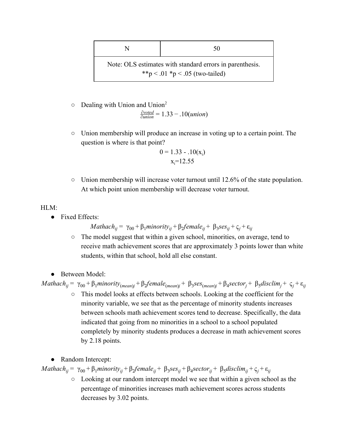| N                                                                                           | 50 |
|---------------------------------------------------------------------------------------------|----|
| Note: OLS estimates with standard errors in parenthesis.<br>**p < .01 *p < .05 (two-tailed) |    |

o Dealing with Union and Union<sup>2</sup>

.33 10(*union*) ∂*voted* <sup>∂</sup>*union* = 1 − .

○ Union membership will produce an increase in voting up to a certain point. The question is where is that point?

$$
0 = 1.33 - .10(x_i)
$$
  

$$
x_i = 12.55
$$

○ Union membership will increase voter turnout until 12.6% of the state population. At which point union membership will decrease voter turnout.

## HLM:

● Fixed Effects:

*Mathach*<sub>ij</sub> =  $\gamma_{00} + \beta_1$ *minority*<sub>ij</sub> +  $\beta_2$ *female*<sub>ij</sub> +  $\beta_3$ *ses*<sub>ij</sub> +  $\varsigma_i$  +  $\varepsilon_{ij}$ 

- The model suggest that within a given school, minorities, on average, tend to receive math achievement scores that are approximately 3 points lower than white students, within that school, hold all else constant.
- Between Model

Mathach<sub>ij</sub> =  $\gamma_{00} + \beta_1$ minority<sub>(mean)j</sub> +  $\beta_2$ female<sub>(mean)j</sub> +  $\beta_3$ ses<sub>(mean)j</sub> +  $\beta_4$ sector<sub>j</sub> +  $\beta_5$ disclim<sub>j</sub> +  $\varsigma_j$  +  $\varepsilon_{ij}$ 

- This model looks at effects between schools. Looking at the coefficient for the minority variable, we see that as the percentage of minority students increases between schools math achievement scores tend to decrease. Specifically, the data indicated that going from no minorities in a school to a school populated completely by minority students produces a decrease in math achievement scores by 2.18 points.
- Random Intercept:

 $Mathach_{ij} = \gamma_{00} + \beta_1 \text{minority}_{ij} + \beta_2 \text{female}_{ij} + \beta_3 \text{ses}_{ij} + \beta_4 \text{sector}_{ij} + \beta_5 \text{disclim}_{ij} + \varsigma_j + \varepsilon_{ij}$ 

○ Looking at our random intercept model we see that within a given school as the percentage of minorities increases math achievement scores across students decreases by 3.02 points.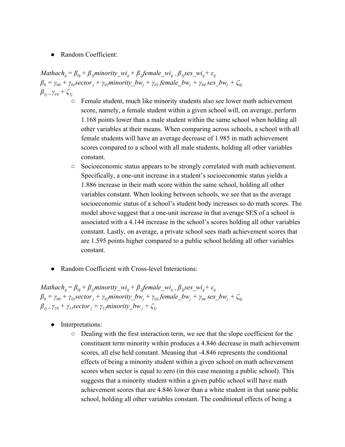**Random Coefficient:** 

Mathach<sub>ij</sub> =  $\beta_{0j}$  +  $\beta_{1j}$ minority\_wi<sub>ij</sub> +  $\beta_{2j}$ female\_wi<sub>ij +</sub>  $\beta_{3j}$ ses\_wi<sub>ij</sub> +  $\varepsilon_{ij}$  $\beta_0 = \gamma_{00} + \gamma_{0I}$ sector<sub>j</sub> +  $\gamma_{02}$ minority\_bw<sub>j</sub> +  $\gamma_{03}$  female\_bw<sub>j</sub> +  $\gamma_{04}$  ses\_bw<sub>j</sub> +  $\zeta_{0j}$ *β1j <sup>=</sup> γ<sup>10</sup> + ζ1j*

- Female student, much like minority students also see lower math achievement score, namely, a female student within a given school will, on average, perform 1.168 points lower than a male student within the same school when holding all other variables at their means. When comparing across schools, a school with all female students will have an average decrease of 1.985 in math achievement scores compared to a school with all male students, holding all other variables constant.
- Socioeconomic status appears to be strongly correlated with math achievement. Specifically, a one-unit increase in a student's socioeconomic status yields a 1.886 increase in their math score within the same school, holding all other variables constant. When looking between schools, we see that as the average socioeconomic status of a school's student body increases so do math scores. The model above suggest that a one-unit increase in that average SES of a school is associated with a 4.144 increase in the school's scores holding all other variables constant. Lastly, on average, a private school sees math achievement scores that are 1.595 points higher compared to a public school holding all other variables constant.
- **Random Coefficient with Cross-level Interactions:**

Mathach<sub>ij</sub> =  $\beta_{0j}$  +  $\beta_{1j}$ minority\_wi<sub>ij</sub> +  $\beta_{2j}$ female\_wi<sub>ij +</sub>  $\beta_{3j}$ ses\_wi<sub>ij</sub> +  $\varepsilon_{ij}$  $\beta_0 = \gamma_{00} + \gamma_{0I}$ sector<sub>j</sub> +  $\gamma_{02}$ minority\_bw<sub>j</sub> +  $\gamma_{03}$  female\_bw<sub>j</sub> +  $\gamma_{04}$  ses\_bw<sub>j</sub> +  $\zeta_{0j}$  $\beta_{1j} = \gamma_{10} + \gamma_{11}$ sector<sub>*j*</sub> +  $\gamma_{12}$ minority\_bw<sub>*j*</sub> +  $\zeta_{1j}$ 

- Interpretations:
	- Dealing with the first interaction term, we see that the slope coefficient for the constituent term minority within produces a 4.846 decrease in math achievement scores, all else held constant. Meaning that -4.846 represents the conditional effects of being a minority student within a given school on math achievement scores when sector is equal to zero (in this case meaning a public school). This suggests that a minority student within a given public school will have math achievement scores that are 4.846 lower than a white student in that same public school, holding all other variables constant. The conditional effects of being a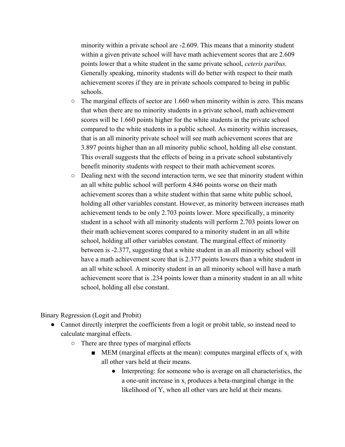minority within a private school are 2.609. This means that a minority student within a given private school will have math achievement scores that are 2.609 points lower that a white student in the same private school, *ceteris paribus.* Generally speaking, minority students will do better with respect to their math achievement scores if they are in private schools compared to being in public schools.

- $\circ$  The marginal effects of sector are 1.660 when minority within is zero. This means that when there are no minority students in a private school, math achievement scores will be 1.660 points higher for the white students in the private school compared to the white students in a public school. As minority within increases, that is an all minority private school will see math achievement scores that are 3.897 points higher than an all minority public school, holding all else constant. This overall suggests that the effects of being in a private school substantively benefit minority students with respect to their math achievement scores.
- Dealing next with the second interaction term, we see that minority student within an all white public school will perform 4.846 points worse on their math achievement scores than a white student within that same white public school, holding all other variables constant. However, as minority between increases math achievement tends to be only 2.703 points lower. More specifically, a minority student in a school with all minority students will perform 2.703 points lower on their math achievement scores compared to a minority student in an all white school, holding all other variables constant. The marginal effect of minority between is 2.377, suggesting that a white student in an all minority school will have a math achievement score that is 2.377 points lowers than a white student in an all white school. A minority student in an all minority school will have a math achievement score that is .234 points lower than a minority student in an all white school, holding all else constant.

Binary Regression (Logit and Probit)

- Cannot directly interpret the coefficients from a logit or probit table, so instead need to calculate marginal effects.
	- There are three types of marginal effects
		- $\blacksquare$  MEM (marginal effects at the mean): computes marginal effects of  $x_i$  with all other vars held at their means.
			- Interpreting: for someone who is average on all characteristics, the a one-unit increase in  $x_i$  produces a beta-marginal change in the likelihood of Y, when all other vars are held at their means.